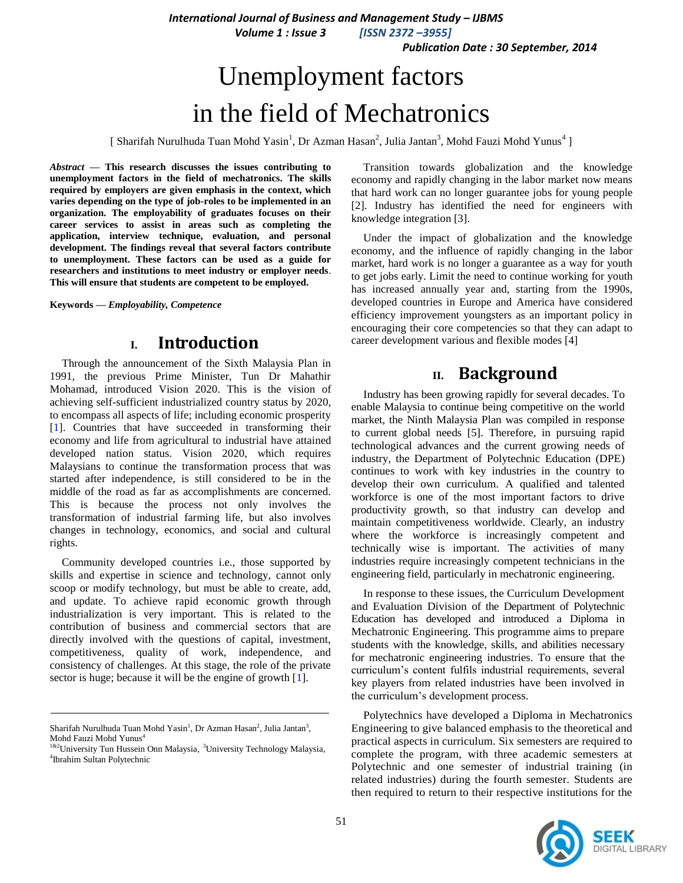*International Journal of Business and Management Study – IJBMS*

 *Volume 1 : Issue 3 [ISSN 2372 –3955]*

 *Publication Date : 30 September, 2014*

# Unemployment factors in the field of Mechatronics

[ Sharifah Nurulhuda Tuan Mohd Yasin<sup>1</sup>, Dr Azman Hasan<sup>2</sup>, Julia Jantan<sup>3</sup>, Mohd Fauzi Mohd Yunus<sup>4</sup>]

*Abstract* **— This research discusses the issues contributing to unemployment factors in the field of mechatronics. The skills required by employers are given emphasis in the context, which varies depending on the type of job-roles to be implemented in an organization. The employability of graduates focuses on their career services to assist in areas such as completing the application, interview technique, evaluation, and personal development. The findings reveal that several factors contribute to unemployment. These factors can be used as a guide for researchers and institutions to meet industry or employer needs**. **This will ensure that students are competent to be employed.**

**Keywords —** *Employability, Competence*

### **I. Introduction**

Through the announcement of the Sixth Malaysia Plan in 1991, the previous Prime Minister, Tun Dr Mahathir Mohamad, introduced Vision 2020. This is the vision of achieving self-sufficient industrialized country status by 2020, to encompass all aspects of life; including economic prosperity [1]. Countries that have succeeded in transforming their economy and life from agricultural to industrial have attained developed nation status. Vision 2020, which requires Malaysians to continue the transformation process that was started after independence, is still considered to be in the middle of the road as far as accomplishments are concerned. This is because the process not only involves the transformation of industrial farming life, but also involves changes in technology, economics, and social and cultural rights.

Community developed countries i.e., those supported by skills and expertise in science and technology, cannot only scoop or modify technology, but must be able to create, add, and update. To achieve rapid economic growth through industrialization is very important. This is related to the contribution of business and commercial sectors that are directly involved with the questions of capital, investment, competitiveness, quality of work, independence, and consistency of challenges. At this stage, the role of the private sector is huge; because it will be the engine of growth [1].

Transition towards globalization and the knowledge economy and rapidly changing in the labor market now means that hard work can no longer guarantee jobs for young people [2]. Industry has identified the need for engineers with knowledge integration [3].

Under the impact of globalization and the knowledge economy, and the influence of rapidly changing in the labor market, hard work is no longer a guarantee as a way for youth to get jobs early. Limit the need to continue working for youth has increased annually year and, starting from the 1990s, developed countries in Europe and America have considered efficiency improvement youngsters as an important policy in encouraging their core competencies so that they can adapt to career development various and flexible modes [4]

## **II. Background**

Industry has been growing rapidly for several decades. To enable Malaysia to continue being competitive on the world market, the Ninth Malaysia Plan was compiled in response to current global needs [5]. Therefore, in pursuing rapid technological advances and the current growing needs of industry, the Department of Polytechnic Education (DPE) continues to work with key industries in the country to develop their own curriculum. A qualified and talented workforce is one of the most important factors to drive productivity growth, so that industry can develop and maintain competitiveness worldwide. Clearly, an industry where the workforce is increasingly competent and technically wise is important. The activities of many industries require increasingly competent technicians in the engineering field, particularly in mechatronic engineering.

In response to these issues, the Curriculum Development and Evaluation Division of the Department of Polytechnic Education has developed and introduced a Diploma in Mechatronic Engineering. This programme aims to prepare students with the knowledge, skills, and abilities necessary for mechatronic engineering industries. To ensure that the curriculum's content fulfils industrial requirements, several key players from related industries have been involved in the curriculum's development process.

Polytechnics have developed a Diploma in Mechatronics Engineering to give balanced emphasis to the theoretical and practical aspects in curriculum. Six semesters are required to complete the program, with three academic semesters at Polytechnic and one semester of industrial training (in related industries) during the fourth semester. Students are then required to return to their respective institutions for the



Sharifah Nurulhuda Tuan Mohd Yasin<sup>1</sup>, Dr Azman Hasan<sup>2</sup>, Julia Jantan<sup>3</sup>, Mohd Fauzi Mohd Yunus<sup>4</sup>

<sup>&</sup>lt;sup>1&2</sup>University Tun Hussein Onn Malaysia, <sup>3</sup>University Technology Malaysia, 4 Ibrahim Sultan Polytechnic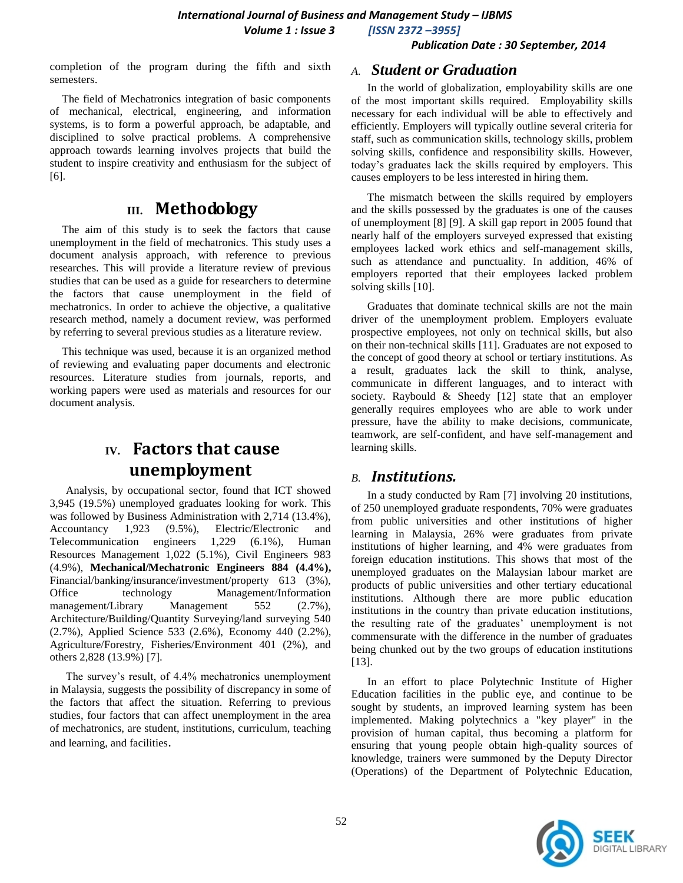#### *Publication Date : 30 September, 2014*

completion of the program during the fifth and sixth semesters.

The field of Mechatronics integration of basic components of mechanical, electrical, engineering, and information systems, is to form a powerful approach, be adaptable, and disciplined to solve practical problems. A comprehensive approach towards learning involves projects that build the student to inspire creativity and enthusiasm for the subject of [6].

# **III. Methodology**

The aim of this study is to seek the factors that cause unemployment in the field of mechatronics. This study uses a document analysis approach, with reference to previous researches. This will provide a literature review of previous studies that can be used as a guide for researchers to determine the factors that cause unemployment in the field of mechatronics. In order to achieve the objective, a qualitative research method, namely a document review, was performed by referring to several previous studies as a literature review.

This technique was used, because it is an organized method of reviewing and evaluating paper documents and electronic resources. Literature studies from journals, reports, and working papers were used as materials and resources for our document analysis.

# **IV. Factors that cause unemployment**

Analysis, by occupational sector, found that ICT showed 3,945 (19.5%) unemployed graduates looking for work. This was followed by Business Administration with 2,714 (13.4%), Accountancy 1,923 (9.5%), Electric/Electronic and Telecommunication engineers 1,229 (6.1%), Human Resources Management 1,022 (5.1%), Civil Engineers 983 (4.9%), **Mechanical/Mechatronic Engineers 884 (4.4%),**  Financial/banking/insurance/investment/property 613 (3%), Office technology Management/Information management/Library Management 552 (2.7%), Architecture/Building/Quantity Surveying/land surveying 540 (2.7%), Applied Science 533 (2.6%), Economy 440 (2.2%), Agriculture/Forestry, Fisheries/Environment 401 (2%), and others 2,828 (13.9%) [7].

The survey's result, of 4.4% mechatronics unemployment in Malaysia, suggests the possibility of discrepancy in some of the factors that affect the situation. Referring to previous studies, four factors that can affect unemployment in the area of mechatronics, are student, institutions, curriculum, teaching and learning, and facilities.

#### *A. Student or Graduation*

In the world of globalization, employability skills are one of the most important skills required. Employability skills necessary for each individual will be able to effectively and efficiently. Employers will typically outline several criteria for staff, such as communication skills, technology skills, problem solving skills, confidence and responsibility skills. However, today's graduates lack the skills required by employers. This causes employers to be less interested in hiring them.

The mismatch between the skills required by employers and the skills possessed by the graduates is one of the causes of unemployment [8] [9]. A skill gap report in 2005 found that nearly half of the employers surveyed expressed that existing employees lacked work ethics and self-management skills, such as attendance and punctuality. In addition, 46% of employers reported that their employees lacked problem solving skills [10].

Graduates that dominate technical skills are not the main driver of the unemployment problem. Employers evaluate prospective employees, not only on technical skills, but also on their non-technical skills [11]. Graduates are not exposed to the concept of good theory at school or tertiary institutions. As a result, graduates lack the skill to think, analyse, communicate in different languages, and to interact with society. Raybould & Sheedy [12] state that an employer generally requires employees who are able to work under pressure, have the ability to make decisions, communicate, teamwork, are self-confident, and have self-management and learning skills.

### *B. Institutions.*

In a study conducted by Ram [7] involving 20 institutions, of 250 unemployed graduate respondents, 70% were graduates from public universities and other institutions of higher learning in Malaysia, 26% were graduates from private institutions of higher learning, and 4% were graduates from foreign education institutions. This shows that most of the unemployed graduates on the Malaysian labour market are products of public universities and other tertiary educational institutions. Although there are more public education institutions in the country than private education institutions, the resulting rate of the graduates' unemployment is not commensurate with the difference in the number of graduates being chunked out by the two groups of education institutions [13].

In an effort to place Polytechnic Institute of Higher Education facilities in the public eye, and continue to be sought by students, an improved learning system has been implemented. Making polytechnics a "key player" in the provision of human capital, thus becoming a platform for ensuring that young people obtain high-quality sources of knowledge, trainers were summoned by the Deputy Director (Operations) of the Department of Polytechnic Education,

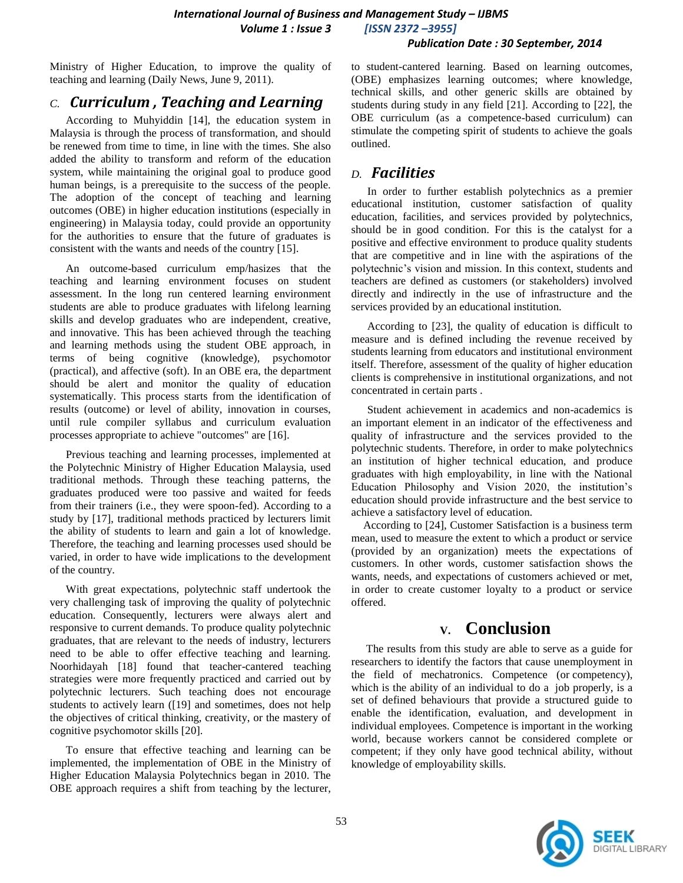*International Journal of Business and Management Study – IJBMS Volume 1 : Issue 3 [ISSN 2372 –3955]*

#### *Publication Date : 30 September, 2014*

Ministry of Higher Education, to improve the quality of teaching and learning (Daily News, June 9, 2011).

### *C. Curriculum , Teaching and Learning*

According to Muhyiddin [14], the education system in Malaysia is through the process of transformation, and should be renewed from time to time, in line with the times. She also added the ability to transform and reform of the education system, while maintaining the original goal to produce good human beings, is a prerequisite to the success of the people. The adoption of the concept of teaching and learning outcomes (OBE) in higher education institutions (especially in engineering) in Malaysia today, could provide an opportunity for the authorities to ensure that the future of graduates is consistent with the wants and needs of the country [15].

An outcome-based curriculum emp/hasizes that the teaching and learning environment focuses on student assessment. In the long run centered learning environment students are able to produce graduates with lifelong learning skills and develop graduates who are independent, creative, and innovative. This has been achieved through the teaching and learning methods using the student OBE approach, in terms of being cognitive (knowledge), psychomotor (practical), and affective (soft). In an OBE era, the department should be alert and monitor the quality of education systematically. This process starts from the identification of results (outcome) or level of ability, innovation in courses, until rule compiler syllabus and curriculum evaluation processes appropriate to achieve "outcomes" are [16].

Previous teaching and learning processes, implemented at the Polytechnic Ministry of Higher Education Malaysia, used traditional methods. Through these teaching patterns, the graduates produced were too passive and waited for feeds from their trainers (i.e., they were spoon-fed). According to a study by [17], traditional methods practiced by lecturers limit the ability of students to learn and gain a lot of knowledge. Therefore, the teaching and learning processes used should be varied, in order to have wide implications to the development of the country.

With great expectations, polytechnic staff undertook the very challenging task of improving the quality of polytechnic education. Consequently, lecturers were always alert and responsive to current demands. To produce quality polytechnic graduates, that are relevant to the needs of industry, lecturers need to be able to offer effective teaching and learning. Noorhidayah [18] found that teacher-cantered teaching strategies were more frequently practiced and carried out by polytechnic lecturers. Such teaching does not encourage students to actively learn ([19] and sometimes, does not help the objectives of critical thinking, creativity, or the mastery of cognitive psychomotor skills [20].

To ensure that effective teaching and learning can be implemented, the implementation of OBE in the Ministry of Higher Education Malaysia Polytechnics began in 2010. The OBE approach requires a shift from teaching by the lecturer, to student-cantered learning. Based on learning outcomes, (OBE) emphasizes learning outcomes; where knowledge, technical skills, and other generic skills are obtained by students during study in any field [21]. According to [22], the OBE curriculum (as a competence-based curriculum) can stimulate the competing spirit of students to achieve the goals outlined.

### *D. Facilities*

In order to further establish polytechnics as a premier educational institution, customer satisfaction of quality education, facilities, and services provided by polytechnics, should be in good condition. For this is the catalyst for a positive and effective environment to produce quality students that are competitive and in line with the aspirations of the polytechnic's vision and mission. In this context, students and teachers are defined as customers (or stakeholders) involved directly and indirectly in the use of infrastructure and the services provided by an educational institution.

According to [23], the quality of education is difficult to measure and is defined including the revenue received by students learning from educators and institutional environment itself. Therefore, assessment of the quality of higher education clients is comprehensive in institutional organizations, and not concentrated in certain parts .

Student achievement in academics and non-academics is an important element in an indicator of the effectiveness and quality of infrastructure and the services provided to the polytechnic students. Therefore, in order to make polytechnics an institution of higher technical education, and produce graduates with high employability, in line with the National Education Philosophy and Vision 2020, the institution's education should provide infrastructure and the best service to achieve a satisfactory level of education.

According to [24], Customer Satisfaction is a business term mean, used to measure the extent to which a product or service (provided by an organization) meets the expectations of customers. In other words, customer satisfaction shows the wants, needs, and expectations of customers achieved or met, in order to create customer loyalty to a product or service offered.

### **V. Conclusion**

The results from this study are able to serve as a guide for researchers to identify the factors that cause unemployment in the field of mechatronics. Competence (or competency), which is the ability of an individual to do a job properly, is a set of defined behaviours that provide a structured guide to enable the identification, evaluation, and development in individual employees. Competence is important in the working world, because workers cannot be considered complete or competent; if they only have good technical ability, without knowledge of employability skills.